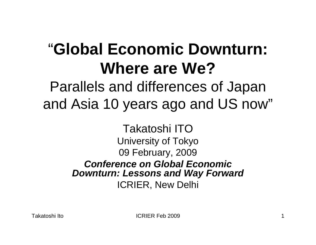#### "**Global Economic Downturn: Where are We?**

Parallels and differences of Japan and Asia 10 years ago and US now"

> Takatoshi ITOUniversity of Tokyo 09 February, 2009 *Conference on Global Economic Downturn: Lessons and Way Forward* ICRIER, New Delhi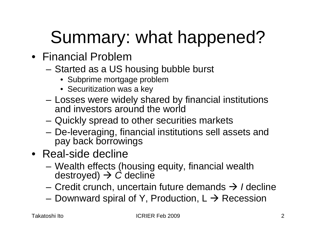# Summary: what happened?

- Financial Problem
	- – Started as a US housing bubble burst
		- Subprime mortgage problem
		- Securitization was a key
	- Losses were widely shared by financial institutions and investors around the world
	- –Quickly spread to other securities markets
	- De-leveraging, financial institutions sell assets and pay back borrowings
- Real-side decline
	- Wealth effects (housing equity, financial wealth destroyed) Æ *C* decline
	- Credit crunch, uncertain future demands Æ *I* decline
	- Downward spiral of Y, Production,  $L \rightarrow$  Recession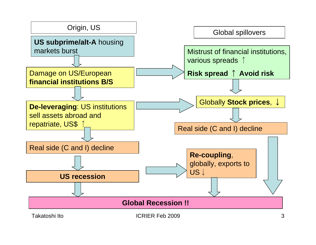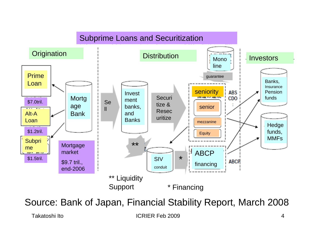

Source: Bank of Japan, Financial Stability Report, March 2008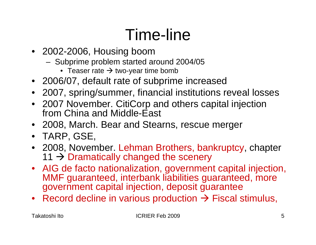#### Time-line

- 2002-2006, Housing boom
	- Subprime problem started around 2004/05
		- $\bullet~$  Teaser rate  $\rightarrow$  two-year time bomb
- 2006/07, default rate of subprime increased
- 2007, spring/summer, financial institutions reveal losses
- 2007 November. CitiCorp and others capital injection from China and Middle-East
- 2008, March. Bear and Stearns, rescue merger
- TARP, GSE,
- 2008, November. Lehman Brothers, bankruptcy, chapter 11  $\rightarrow$  Dramatically changed the scenery
- AIG de facto nationalization, government capital injection, MMF guaranteed, interbank liabilities guaranteed, more government capital injection, deposit guarantee
- Record decline in various production  $\rightarrow$  Fiscal stimulus,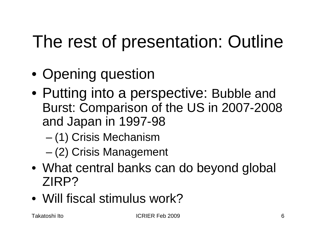## The rest of presentation: Outline

- Opening question
- Putting into a perspective: Bubble and Burst: Comparison of the US in 2007-2008 and Japan in 1997-98
	- –(1) Crisis Mechanism
	- –(2) Crisis Management
- What central banks can do beyond global ZIRP?
- Will fiscal stimulus work?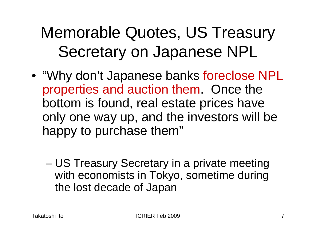#### Memorable Quotes, US Treasury Secretary on Japanese NPL

- "Why don't Japanese banks foreclose NPL properties and auction them. Once the bottom is found, real estate prices have only one way up, and the investors will be happy to purchase them"
	- – US Treasury Secretary in a private meeting with economists in Tokyo, sometime during the lost decade of Japan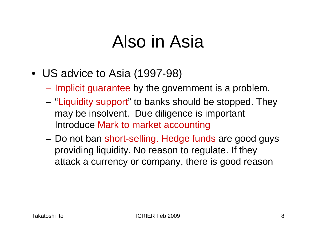#### Also in Asia

- US advice to Asia (1997-98)
	- $\mathcal{L}_{\mathcal{A}}$ Implicit guarantee by the government is a problem.
	- – "Liquidity support" to banks should be stopped. They may be insolvent. Due diligence is important Introduce Mark to market accounting
	- Do not ban short-selling. Hedge funds are good guys providing liquidity. No reason to regulate. If they attack a currency or company, there is good reason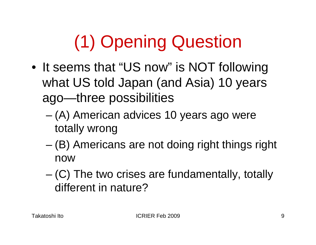# (1) Opening Question

- It seems that "US now" is NOT following what US told Japan (and Asia) 10 years ago—three possibilities
	- – (A) American advices 10 years ago were totally wrong
	- (B) Americans are not doing right things right now
	- – (C) The two crises are fundamentally, totally different in nature?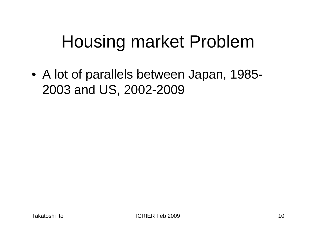## Housing market Problem

• A lot of parallels between Japan, 1985- 2003 and US, 2002-2009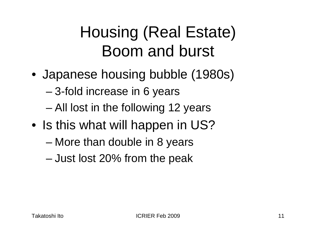#### Housing (Real Estate) Boom and burst

- Japanese housing bubble (1980s)
	- 3-fold increase in 6 years
	- All lost in the following 12 years
- Is this what will happen in US?
	- More than double in 8 years
	- –Just lost 20% from the peak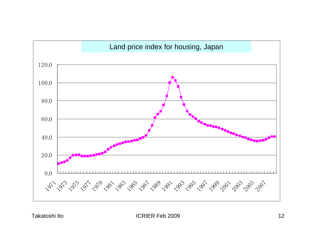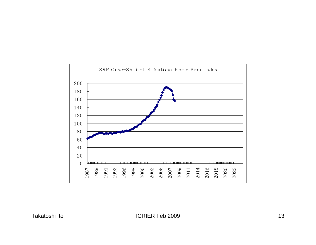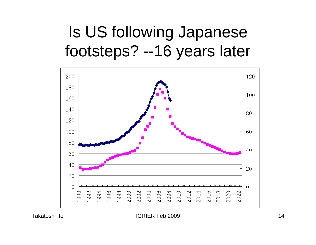#### Is US following Japanese footsteps? --16 years later



Takatoshi Ito 14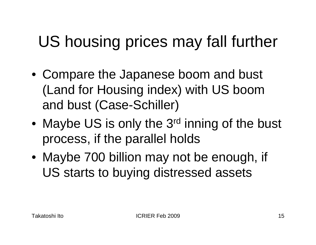## US housing prices may fall further

- Compare the Japanese boom and bust (Land for Housing index) with US boom and bust (Case-Schiller)
- •Maybe US is only the 3<sup>rd</sup> inning of the bust process, if the parallel holds
- Maybe 700 billion may not be enough, if US starts to buying distressed assets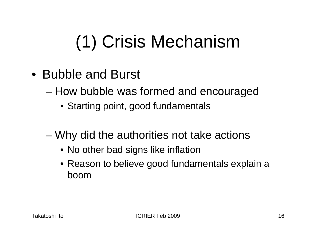# (1) Crisis Mechanism

- Bubble and Burst
	- How bubble was formed and encouraged
		- Starting point, good fundamentals
	- Why did the authorities not take actions
		- No other bad signs like inflation
		- Reason to believe good fundamentals explain a boom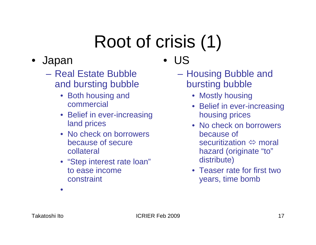# Root of crisis (1)

- • Japan
	- Real Estate Bubble and bursting bubble
		- Both housing and commercial
		- Belief in ever-increasing land prices
		- No check on borrowers because of secure collateral
		- "Step interest rate loan" to ease income constraint

•US

- Housing Bubble and bursting bubble
	- Mostly housing
	- Belief in ever-increasing housing prices
	- No check on borrowers because of securitization  $\Leftrightarrow$  moral hazard (originate "to" distribute)
	- Teaser rate for first two years, time bomb

•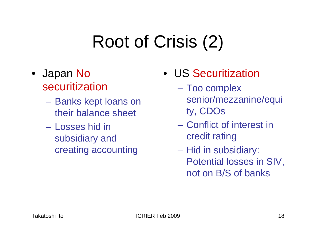## Root of Crisis (2)

- Japan No securitization
	- Banks kept loans on their balance sheet
	- Losses hid in subsidiary and creating accounting
- US Securitization
	- $\mathcal{L}_{\mathcal{A}}$  Too complex senior/mezzanine/equi ty, CDOs
	- Conflict of interest in credit rating
	- $\mathcal{L}_{\mathcal{A}}$  Hid in subsidiary: Potential losses in SIV, not on B/S of banks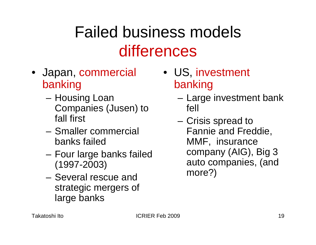#### Failed business models differences

- Japan, commercial banking
	- Housing Loan Companies (Jusen) to fall first
	- Smaller commercial banks failed
	- Four large banks failed (1997-2003)
	- Several rescue and strategic mergers of large banks
- US, investment banking
	- Large investment bank fell
	- Crisis spread to Fannie and Freddie, MMF, insurance company (AIG), Big 3 auto companies, (and more?)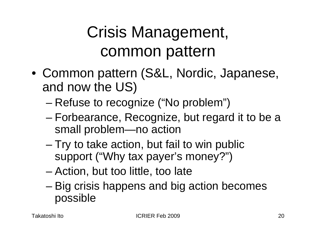#### Crisis Management, common pattern

- Common pattern (S&L, Nordic, Japanese, and now the US)
	- –Refuse to recognize ("No problem")
	- – Forbearance, Recognize, but regard it to be a small problem—no action
	- – Try to take action, but fail to win public support ("Why tax payer's money?")
	- –Action, but too little, too late
	- – Big crisis happens and big action becomes possible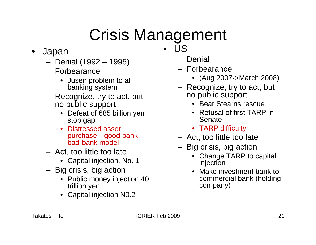## Crisis Management

- $\bullet$  Japan
	- Denial (1992 1995)
	- Forbearance
		- Jusen problem to all banking system
	- Recognize, try to act, but no public support
		- Defeat of 685 billion yen stop gap
		- $\bullet$  Distressed asset purchase—good bankbad-bank model
	- Act, too little too late
		- Capital injection, No. 1
	- Big crisis, big action
		- Public money injection 40 trillion yen
		- Capital injection N0.2
- • US
	- Denial
	- Forbearance
		- (Aug 2007->March 2008)
	- Recognize, try to act, but no public support
		- Bear Stearns rescue
		- Refusal of first TARP in Senate
		- TARP difficulty
	- Act, too little too late
	- Big crisis, big action
		- Change TARP to capital injection
		- Make investment bank to commercial bank (holding company)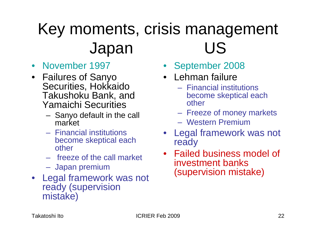#### Key moments, crisis management Japan US

- November 1997
- Failures of Sanyo Securities, Hokkaido Takushoku Bank, and Yamaichi Securities
	- Sanyo default in the call market
	- Financial institutions become skeptical each other
	- freeze of the call market
	- Japan premium
- Legal framework was not ready (supervision mistake)
- September 2008
- Lehman failure
	- Financial institutions become skeptical each other
	- Freeze of money markets
	- Western Premium
- Legal framework was not ready
- Failed business model of investment banks (supervision mistake)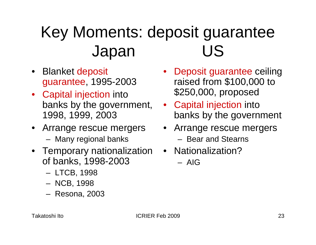#### Key Moments: deposit guarantee Japan US

- Blanket deposit guarantee, 1995-2003
- Capital injection into banks by the government, 1998, 1999, 2003
- Arrange rescue mergers
	- Many regional banks
- Temporary nationalization Nationalization? of banks, 1998-2003
	- LTCB, 1998
	- NCB, 1998
	- Resona, 2003
- Deposit guarantee ceiling raised from \$100,000 to \$250,000, proposed
- Capital injection into banks by the government
- Arrange rescue mergers
	- Bear and Stearns
- - AIG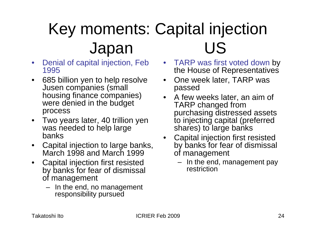#### Key moments: Capital injection Japan US

- $\bullet$  Denial of capital injection, Feb 1995
- $\bullet$  685 billion yen to help resolve Jusen companies (small housing finance companies) were denied in the budget process
- $\bullet$  Two years later, 40 trillion yen was needed to help large banks
- • Capital injection to large banks, March 1998 and March 1999
- $\bullet$  Capital injection first resisted by banks for fear of dismissal of management
	- In the end, no management responsibility pursued
- TARP was first voted down by the House of Representatives
- • One week later, TARP was passed
- A few weeks later, an aim of TARP changed from purchasing distressed assets to injecting capital (preferred shares) to large banks
- Capital injection first resisted by banks for fear of dismissal of management
	- In the end, management pay restriction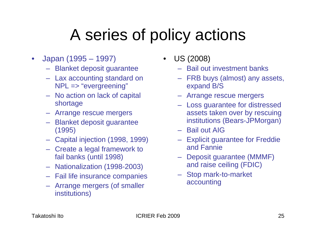#### A series of policy actions

- $\bullet$  Japan (1995 – 1997)
	- Blanket deposit guarantee
	- Lax accounting standard on NPL => "evergreening"
	- No action on lack of capital shortage
	- Arrange rescue mergers
	- Blanket deposit guarantee (1995)
	- Capital injection (1998, 1999)
	- Create a legal framework to fail banks (until 1998)
	- Nationalization (1998-2003)
	- Fail life insurance companies
	- Arrange mergers (of smaller institutions)
- $\bullet$  US (2008)
	- Bail out investment banks
	- FRB buys (almost) any assets, expand B/S
	- Arrange rescue mergers
	- Loss guarantee for distressed assets taken over by rescuing institutions (Bears-JPMorgan)
	- Bail out AIG
	- Explicit guarantee for Freddie and Fannie
	- Deposit guarantee (MMMF) and raise ceiling (FDIC)
	- Stop mark-to-market accounting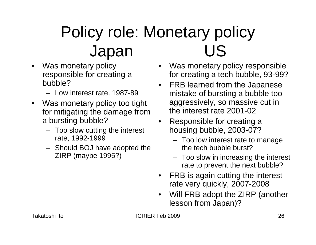## Policy role: Monetary policy Japan US

- $\bullet$  Was monetary policy responsible for creating a bubble?
	- Low interest rate, 1987-89
- Was monetary policy too tight for mitigating the damage from a bursting bubble?
	- Too slow cutting the interest rate, 1992-1999
	- Should BOJ have adopted the ZIRP (maybe 1995?)
- • Was monetary policy responsible for creating a tech bubble, 93-99?
- • FRB learned from the Japanese mistake of bursting a bubble too aggressively, so massive cut in the interest rate 2001-02
- • Responsible for creating a housing bubble, 2003-07?
	- Too low interest rate to manage the tech bubble burst?
	- Too slow in increasing the interest rate to prevent the next bubble?
- • FRB is again cutting the interest rate very quickly, 2007-2008
- • Will FRB adopt the ZIRP (another lesson from Japan)?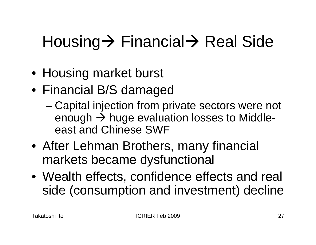## Housing→ Financial→ Real Side

- Housing market burst
- Financial B/S damaged
	- – Capital injection from private sectors were not enough  $\rightarrow$  huge evaluation losses to Middleeast and Chinese SWF
- After Lehman Brothers, many financial markets became dysfunctional
- Wealth effects, confidence effects and real side (consumption and investment) decline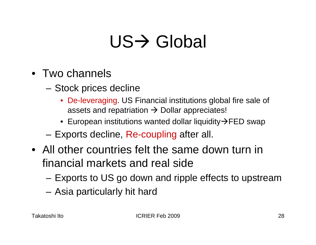## US→ Global

- Two channels
	- – Stock prices decline
		- De-leveraging. US Financial institutions global fire sale of assets and repatriation  $\rightarrow$  Dollar appreciates!
		- $\bullet~$  European institutions wanted dollar liquidity $\bm{\rightarrow}$ FED swap
	- Exports decline, Re-coupling after all.
- All other countries felt the same down turn in financial markets and real side
	- Exports to US go down and ripple effects to upstream
	- Asia particularly hit hard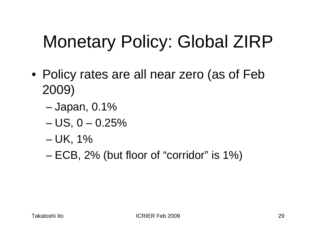## Monetary Policy: Global ZIRP

- Policy rates are all near zero (as of Feb 2009)
	- –Japan, 0.1%
	- $US, 0 0.25\%$
	- –UK, 1%
	- –ECB, 2% (but floor of "corridor" is 1%)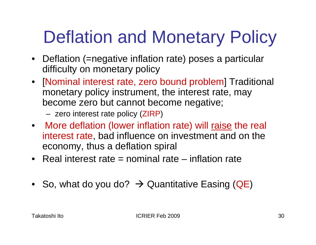## Deflation and Monetary Policy

- Deflation (=negative inflation rate) poses a particular difficulty on monetary policy
- [Nominal interest rate, zero bound problem] Traditional monetary policy instrument, the interest rate, may become zero but cannot become negative;
	- zero interest rate policy (ZIRP )
- More deflation (lower inflation rate) will raise the real interest rate, bad influence on investment and on the economy, thus a deflation spiral
- Real interest rate = nominal rate inflation rate
- So, what do you do?  $\rightarrow$  Quantitative Easing (QE)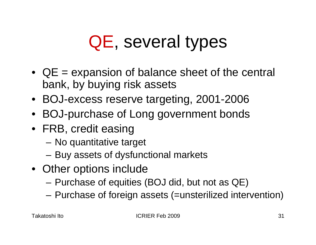## QE, several types

- QE = expansion of balance sheet of the central bank, by buying risk assets
- BOJ-excess reserve targeting, 2001-2006
- BOJ-purchase of Long government bonds
- FRB, credit easing
	- No quantitative target
	- –Buy assets of dysfunctional markets
- Other options include
	- Purchase of equities (BOJ did, but not as QE)
	- Purchase of foreign assets (=unsterilized intervention)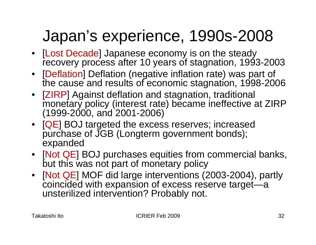#### Japan's experience, 1990s-2008

- [Lost Decade] Japanese economy is on the steady recovery process after 10 years of stagnation, 1993-2003
- [Deflation] Deflation (negative inflation rate) was part of the cause and results of economic stagnation, 1998-2006
- [ZIRP] Against deflation and stagnation, traditional monetary policy (interest rate) became ineffective at ZIRP (1999-2000, and 2001-2006)
- [QE] BOJ targeted the excess reserves; increased purchase of JGB (Longterm government bonds); expanded
- [Not QE] BOJ purchases equities from commercial banks, but this was not part of monetary policy
- [Not QE] MOF did large interventions (2003-2004), partly coincided with expansion of excess reserve target—a unsterilized intervention? Probably not.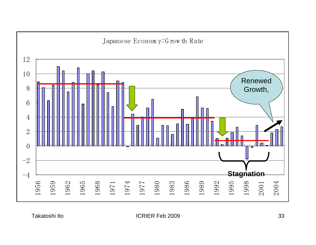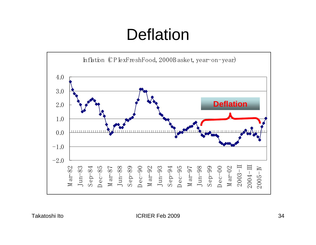#### **Deflation**

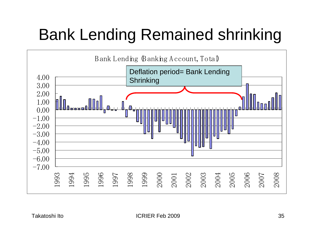#### Bank Lending Remained shrinking

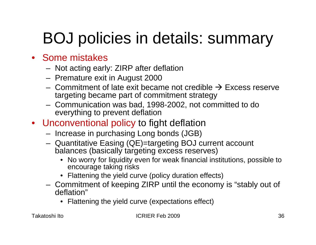#### BOJ policies in details: summary

#### • Some mistakes

- Not acting early: ZIRP after deflation
- Premature exit in August 2000
- $-$  Commitment of late exit became not credible  $\rightarrow$  Excess reserve targeting became part of commitment strategy
- Communication was bad, 1998-2002, not committed to do everything to prevent deflation
- Unconventional policy to fight deflation
	- Increase in purchasing Long bonds (JGB)
	- Quantitative Easing (QE)=targeting BOJ current account balances (basically targeting excess reserves)
		- No worry for liquidity even for weak financial institutions, possible to encourage taking risks
		- Flattening the yield curve (policy duration effects)
	- Commitment of keeping ZIRP until the economy is "stably out of deflation"
		- Flattening the yield curve (expectations effect)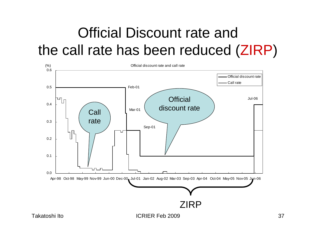#### Official Discount rate and the call rate has been reduced (ZIRP )

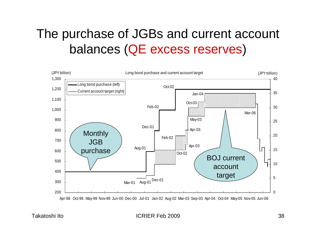#### The purchase of JGBs and current account balances (QE excess reserves )



Apr-98 Oct-98 May-99 Nov-99 Jun-00 Dec-00 Jul-01 Jan-02 Aug-02 Mar-03 Sep-03 Apr-04 Oct-04 May-05 Nov-05 Jun-06

Takatoshi Ito 38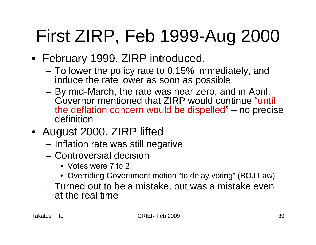## First ZIRP, Feb 1999-Aug 2000

- February 1999. ZIRP introduced.
	- To lower the policy rate to 0.15% immediately, and induce the rate lower as soon as possible
	- By mid-March, the rate was near zero, and in April, Governor mentioned that ZIRP would continue "until the deflation concern would be dispelled" – no precise definition
- August 2000. ZIRP lifted
	- Inflation rate was still negative
	- Controversial decision
		- Votes were 7 to 2
		- Overriding Government motion "to delay voting" (BOJ Law)
	- Turned out to be a mistake, but was a mistake even at the real time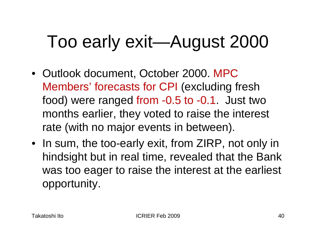## Too early exit—August 2000

- Outlook document, October 2000. MPC Members' forecasts for CPI (excluding fresh food) were ranged from -0.5 to -0.1. Just two months earlier, they voted to raise the interest rate (with no major events in between).
- In sum, the too-early exit, from ZIRP, not only in hindsight but in real time, revealed that the Bank was too eager to raise the interest at the earliest opportunity.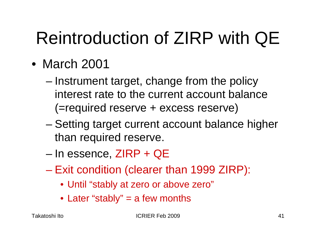## Reintroduction of ZIRP with QE

- March 2001
	- – Instrument target, change from the policy interest rate to the current account balance (=required reserve + excess reserve)
	- – Setting target current account balance higher than required reserve.
	- –In essence, ZIRP + QE
	- Exit condition (clearer than 1999 ZIRP):
		- Until "stably at zero or above zero"
		- Later "stably" = a few months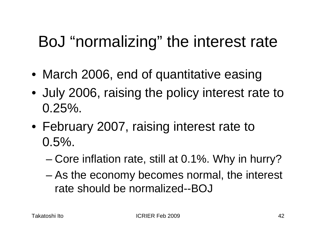#### BoJ "normalizing" the interest rate

- March 2006, end of quantitative easing
- July 2006, raising the policy interest rate to  $0.25\%$ .
- February 2007, raising interest rate to  $0.5\%$ .
	- Core inflation rate, still at 0.1%. Why in hurry?
	- – As the economy becomes normal, the interest rate should be normalized--BOJ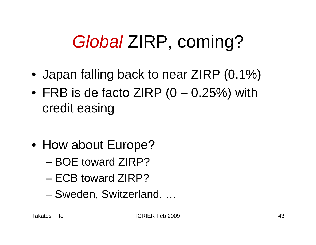## *Global* ZIRP, coming?

- Japan falling back to near ZIRP (0.1%)
- FRB is de facto ZIRP (0 0.25%) with credit easing
- How about Europe?
	- BOE toward ZIRP?
	- ECB toward ZIRP?
	- –Sweden, Switzerland, …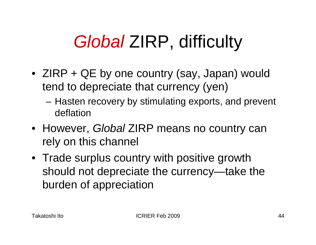## *Global* ZIRP, difficulty

- ZIRP + QE by one country (say, Japan) would tend to depreciate that currency (yen)
	- Hasten recovery by stimulating exports, and prevent deflation
- However, *Global* ZIRP means no country can rely on this channel
- Trade surplus country with positive growth should not depreciate the currency—take the burden of appreciation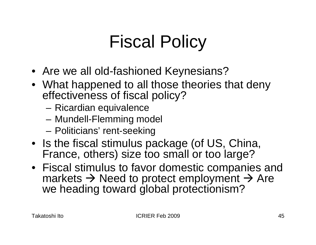## Fiscal Policy

- Are we all old-fashioned Keynesians?
- What happened to all those theories that deny effectiveness of fiscal policy?
	- Ricardian equivalence
	- Mundell-Flemming model
	- –Politicians' rent-seeking
- Is the fiscal stimulus package (of US, China, France, others) size too small or too large?
- Fiscal stimulus to favor domestic companies and markets  $\rightarrow$  Need to protect employment  $\rightarrow$  Are we heading toward global protectionism?